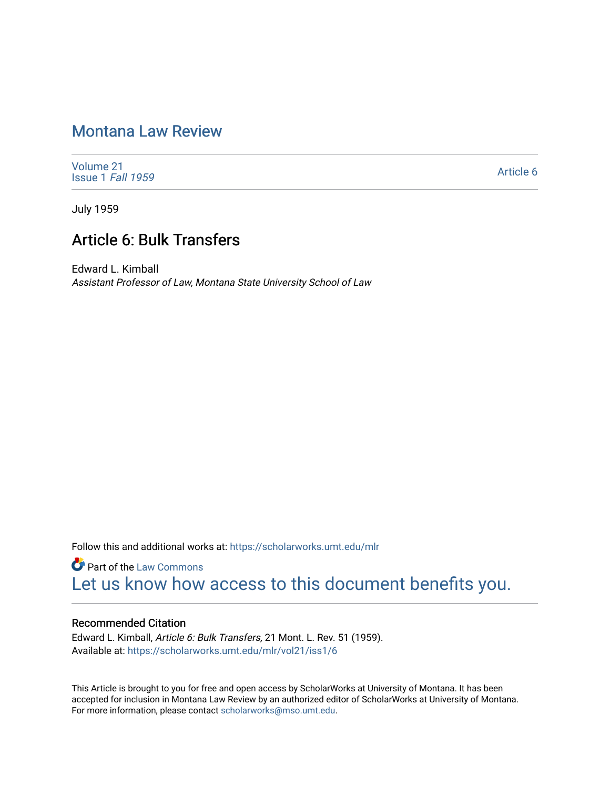# [Montana Law Review](https://scholarworks.umt.edu/mlr)

[Volume 21](https://scholarworks.umt.edu/mlr/vol21) [Issue 1](https://scholarworks.umt.edu/mlr/vol21/iss1) Fall 1959

[Article 6](https://scholarworks.umt.edu/mlr/vol21/iss1/6) 

July 1959

# Article 6: Bulk Transfers

Edward L. Kimball Assistant Professor of Law, Montana State University School of Law

Follow this and additional works at: [https://scholarworks.umt.edu/mlr](https://scholarworks.umt.edu/mlr?utm_source=scholarworks.umt.edu%2Fmlr%2Fvol21%2Fiss1%2F6&utm_medium=PDF&utm_campaign=PDFCoverPages) 

**Part of the [Law Commons](http://network.bepress.com/hgg/discipline/578?utm_source=scholarworks.umt.edu%2Fmlr%2Fvol21%2Fiss1%2F6&utm_medium=PDF&utm_campaign=PDFCoverPages)** [Let us know how access to this document benefits you.](https://goo.gl/forms/s2rGfXOLzz71qgsB2) 

## Recommended Citation

Edward L. Kimball, Article 6: Bulk Transfers, 21 Mont. L. Rev. 51 (1959). Available at: [https://scholarworks.umt.edu/mlr/vol21/iss1/6](https://scholarworks.umt.edu/mlr/vol21/iss1/6?utm_source=scholarworks.umt.edu%2Fmlr%2Fvol21%2Fiss1%2F6&utm_medium=PDF&utm_campaign=PDFCoverPages) 

This Article is brought to you for free and open access by ScholarWorks at University of Montana. It has been accepted for inclusion in Montana Law Review by an authorized editor of ScholarWorks at University of Montana. For more information, please contact [scholarworks@mso.umt.edu.](mailto:scholarworks@mso.umt.edu)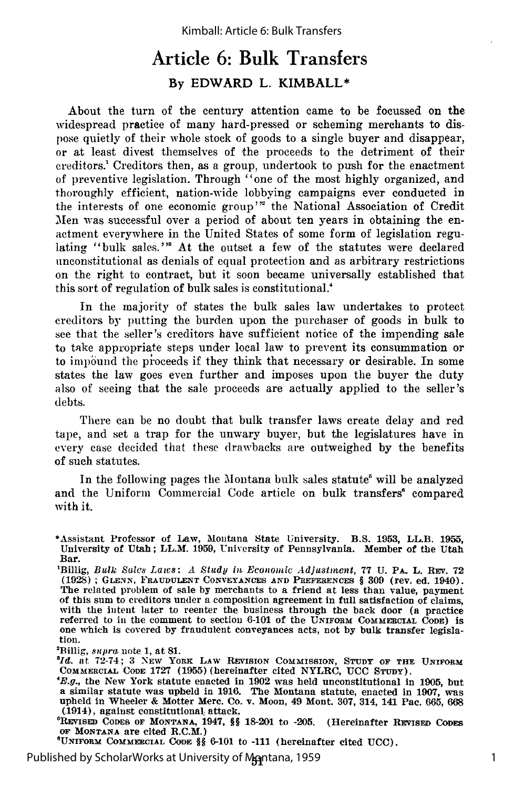# Article **6:** Bulk Transfers **By EDWARD L. KIMBALL\***

About the turn of the century attention came to be focussed on the widespread practice of many hard-pressed or scheming merchants to dispose quietly of their whole stock of goods to a single buyer and disappear, or at least divest themselves of the proceeds to the detriment of their creditors.' Creditors then, as a group, undertook to push for the enactment of preventive legislation. Through "one of the most highly organized, and thoroughly efficient, nation-wide lobbying campaigns ever conducted in the interests of one economic group'" the National Association of Credit Men was successful over a period of about ten years in obtaining the enactment everywhere in the United States of some form of legislation regulating "bulk sales."<sup>3</sup> At the outset a few of the statutes were declared unconstitutional as denials of equal protection and as arbitrary restrictions on the right to contract, but it soon became universally established that this sort of regulation of bulk sales is constitutional.<sup>4</sup>

In the majority of states the bulk sales law undertakes to protect creditors by putting the burden upon the purchaser of goods in bulk to see that the seller's creditors have sufficient notice of the impending sale to take appropriate steps under local law to prevent its consummation or to impound the pioceeds if they think that necessary or desirable. In some states the law goes even further and imposes upon the buyer the duty also of seeing that the sale proceeds are actually applied to the seller's debts.

There can be no doubt that bulk transfer laws create delay and red tape, and set a trap for the unwary buyer, but the legislatures have in every case decided that these drawbacks are outweighed by the benefits of such statutes.

In the following pages the Montana bulk sales statute' will be analyzed and the Uniform Commercial Code article on bulk transfers<sup>®</sup> compared with it.

-Billig, *supra* note 1, at 81.

*ald.* at **72-74; 3** NEW YoRx LAW REVISION COMMISSION, STUDY **OF THE UNIFORM** COMMERCIAL **CODE** 1727 (1955) (hereinafter cited NYLRC, **UCC** STUDY).

 $E.g.,$  the New York statute enacted in 1902 was held unconstitutional in 1905, but a similar statute was upheld in 1916. The Montana statute, enacted in 1907, was upheld in Wheeler & Motter Merc. Co. v. Moon, 49 Mont. 307, (1914), against constitutional, attack.

'REVIsED CODES **OF** MONTANA, 1947, **§§ 18-201** to **-205.** (Hereinafter REVISED CODES **oF** MONTANA are cited R.C.M.) <sup>6</sup>

UNIFORM COMMERCIAL **CODE §§** 6-101 to -111 (hereinafter cited **UCC).**

Published by ScholarWorks at University of M**eg**ntana, 1959 **Research 20 I** 1

<sup>\*</sup>Assistant Professor of Law, Montana State University. B.S. **1953,** LL.B. **1955,** University of Utah; LL.M. 1959, University of Pennsylvania. Member of the Utah Bar.

<sup>&#</sup>x27;Billig, *Bulk Sales Laws: A Study in Econowic Adjustment,* **77** U. PA. L. REv. **72** (1928) ; **GLENN, FRAUDULENT CONVEYANCES AN]D PREFERENCES § 309** (rev. ed. 1940). The related problem of sale by merchants to a friend at less than value, payment of this sum to creditors under a composition agreement in full satisfaction of claims, with the intent later to reenter the business through referred to in the comment to section 6-101 of the UNIFORM COMMERCTAL CODE) is one which is covered by fraudulent conveyances acts, not by bulk transfer legislation.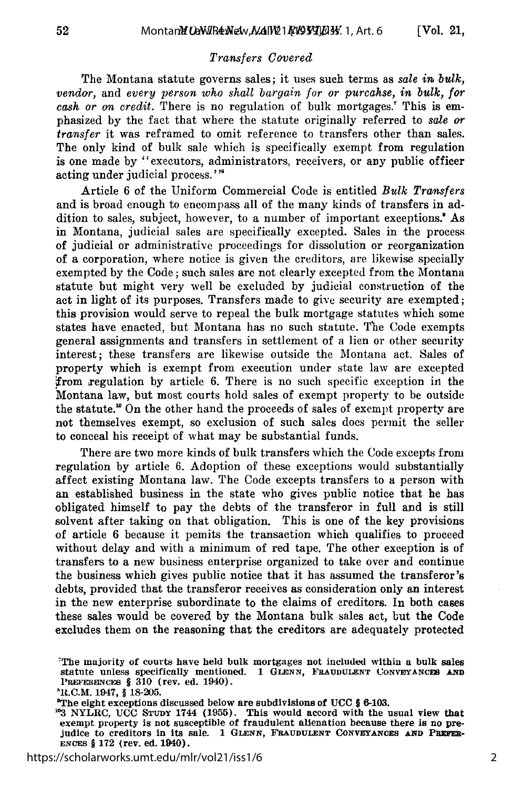#### *Transfers Covered*

The Montana statute governs sales; it uses such terms as *sale in bulk, vendor,* and *every person who shall bargain for or purcahse, in bulk, for cash or on credit.* There is no regulation of bulk mortgages.' This is emphasized by the fact that where the statute originally referred to *sale or transfer* it was reframed to omit reference to transfers other than sales. The only kind of bulk sale which is specifically exempt from regulation is one made by "executors, administrators, receivers, or any public officer acting under judicial process."'

Article 6 of the Uniform Commercial Code is entitled *Bulk Transfers* and is broad enough to encompass all of the many kinds of transfers in addition to sales, subject, however, to a number of important exceptions.<sup>\*</sup> As in Montana, judicial sales are specifically excepted. Sales in the process of judicial or administrative proceedings for dissolution or reorganization of a corporation, where notice is given the creditors, are likewise specially exempted by the Code; such sales are not clearly excepted from the Montana statute but might very well be excluded by judicial construction of the act in light of its purposes. Transfers made to give security are exempted; this provision would serve to repeal the bulk mortgage statutes which some states have enacted, but Montana has no such statute. The Code exempts general assignments and transfers in settlement of a lien or other security interest; these transfers are likewise outside the Montana act. Sales of property which is exempt from execution under state law are excepted from xegulation by article 6. There is no such specific exception in the Montana law, but most courts hold sales of exempt property to be outside the statute.<sup>"</sup> On the other hand the proceeds of sales of exempt property are not themselves exempt, so exclusion of such sales does permit the seller to conceal his receipt of what may be substantial funds.

There are two more kinds of bulk transfers which the Code excepts from regulation by article 6. Adoption of these exceptions would substantially affect existing Montana law. The Code excepts transfers to a person with an established business in the state who gives public notice that he has obligated himself to pay the debts of the transferor in full and is still solvent after taking on that obligation. This is one of the key provisions of article 6 because it pemits the transaction which qualifies to proceed without delay and with a minimum of red tape. The other exception is of transfers to a new business enterprise organized to take over and continue the business which gives public notice that it has assumed the transferor 's debts, provided that the transferor receives as consideration only an interest in the new enterprise subordinate to the claims of creditors. In both cases these sales would be covered by the Montana bulk sales act, but the Code excludes them on the reasoning that the creditors are adequately protected

<sup>-</sup>The majority of courts have held bulk mortgages not included within a bulk sales statute unless specifically mentioned. **1 GLENN, FRAUDULENT CONVEYANCES AND 'REFERENcES § 310** (rev. ed. 1940).

l.C.M. 1947, § 18-205.

The eight exceptions discussed below are subdivisions of **UCC** § 6-103.

**<sup>103</sup>**NYLRC, **UCC** STruny 1744 (1955). This would accord with the usual view that exempt property is not susceptible of fraudulent alienation because there is no pre-<br>judice to creditors in its sale. 1 GLENN, FRAUDULENT CONVEYANCES AND PREFERjudice to creditors in its sale. 1 GLENN, FRAUDULENT CONVEYANCES AND PREFERENCES § 172 (rev. ed. 1940).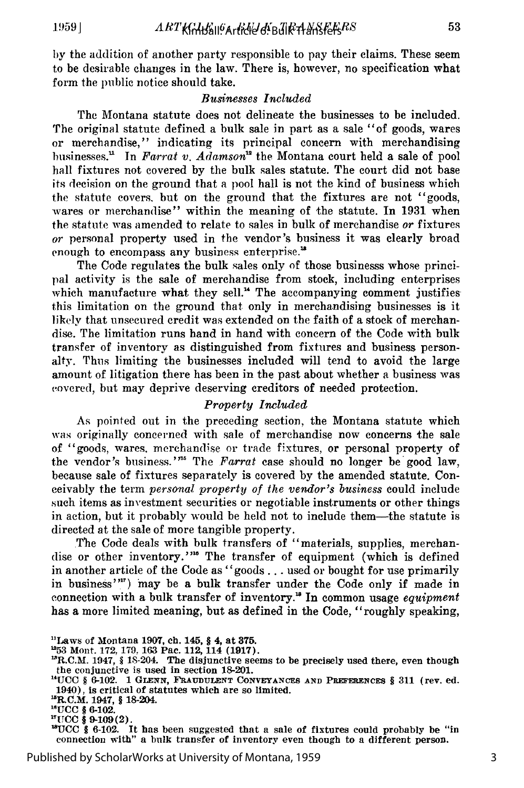by the addition of another party responsible to pay their claims. These seem to be desirable changes in the law. There is, however, no specification what form the public notice should take.

#### *Businesses Included*

The Montana statute does not delineate the businesses to be included. The original statute defined a bulk sale in part as a sale "of goods, wares or merchandise," indicating its principal concern with merchandising businesses.' In *Farrat v. Adamson"* the Montana court held a sale of pool hall fixtures not covered by the bulk sales statute. The court did not base its decision on the ground that a pool hall is not the kind of business which the statute covers, but on the ground that the fixtures are not "goods, wares or merchandise" within the meaning of the statute. In 1931 when the statute was amended to relate to sales in bulk of merchandise *or* fixtures *or* personal property used in the vendor's business it was clearly broad enough to encompass any business enterprise.'

The Code regulates the bulk sales only of those businesss whose principal activity is the sale of merchandise from stock, including enterprises which manufacture what they sell.<sup>"</sup> The accompanying comment justifies this limitation on the ground that only in merchandising businesses is it likely that unsecured credit was extended on the faith of a stock of merchandise. The limitation runs hand in hand with concern of the Code with bulk transfer of inventory as distinguished from fixtures and business personalty. Thus limiting the businesses included will tend to avoid the large amount of litigation there has been in the past about whether a business was covered, but may deprive deserving creditors of needed protection.

#### *Property Included*

As pointed out in the preceding section, the Montana statute which was originally concerned with sale of merchandise now concerns the sale of "goods, wares. merchandise or trade fixtures, or personal property of the vendor's business.'<sup>n5</sup> The *Farrat* case should no longer be good law, because sale of fixtures separately is covered by the amended statute. Conceivably the term *personal property of the vendor's business* could include such items as investment securities or negotiable instruments or other things in action, but it probably would be held not to include them-the statute is directed at the sale of more tangible property.

The Code deals with bulk transfers of "materials, supplies, merchandise or other inventory."'" The transfer of equipment (which is defined in another article of the Code as "goods... used or bought for use primarily in business" $f''$ ) may be a bulk transfer under the Code only if made in connection with a bulk transfer of inventory.<sup>18</sup> In common usage *equipment* has a more limited meaning, but as defined in the Code, "roughly speaking,

**' UCC** *§* **6-102. It has been suggested that a sale of fixtures could probably be "in connection with" a bulk transfer of inventory even though to a different person.**

<sup>&</sup>quot;Laws **of** Montana **1907, ch. 145, § 4,** at **375. <sup>1253</sup>**Mont. **172, 179. 163** Pac. 112, **114 (1917).**

<sup>&#</sup>x27;R.C.M. 1947, § 18-204. **The** disjunctive seems to be precisely used there, even **though** the conjunctive is used in section **18-201.**

**<sup>14</sup>UCC § 6-102. 1 GLENN, FRAUDULENT CONVEYANCES AND PREFERENCES § 311 (rev. ed. 1940), is critical of statutes which are so limited.**

**<sup>-</sup>R.C.M. 1947, § 18-204.**

**<sup>&</sup>quot;UCC § 6-102.**<br>"UCC § 9-109(2).<br>"UCC *§ 0-*109.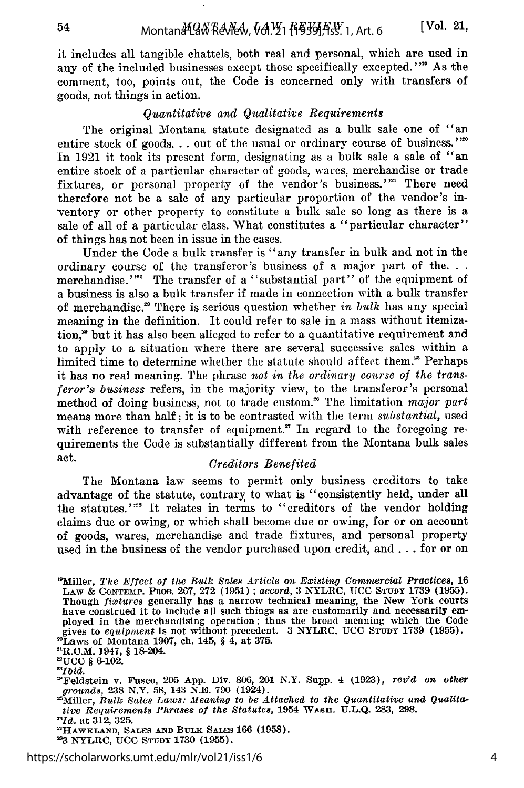it includes all tangible chattels, both real and personal, which are used in any of the included businesses except those specifically excepted." **"'** As the comment, too, points out, the Code is concerned only with transfers of goods, not things in action.

## *Quantitative and Qualitative Requirements*

The original Montana statute designated as a bulk sale one of "an entire stock of goods... out of the usual or ordinary course of business."<sup>20</sup> In 1921 it took its present form, designating as a bulk sale a sale of "an entire stock of a particular character of goods, wares, merchandise or trade fixtures, or personal property of the vendor's business."<sup>21</sup> There need therefore not be a sale of any particular proportion of the vendor's in ventory or other property to constitute a bulk sale so long as there is a sale of all of a particular class. What constitutes a "particular character" of things has not been in issue in the cases.

Under the Code a bulk transfer is "any transfer in bulk and not in the ordinary course of the transferor's business of a major part of the... merchandise.'<sup>22</sup> The transfer of a "substantial part" of the equipment of a business is also a bulk transfer if made in connection with a bulk transfer of merchandise.<sup>28</sup> There is serious question whether *in bulk* has any special meaning in the definition. It could refer to sale in a mass without itemization," but it has also been alleged to refer to a quantitative requirement and to apply to a situation where there are several successive sales within a limited time to determine whether the statute should affect them. $\epsilon$  Perhaps it has no real meaning. The phrase *not in the ordinary course of the transferor's business* refers, in the majority view, to the transferor's personal method of doing business, not to trade custom.<sup>26</sup> The limitation *major part* means more than half; it is to be contrasted with the term *substantial,* used with reference to transfer of equipment." In regard to the foregoing requirements the Code is substantially different from the Montana bulk sales act. *Creditors Benefited*

The Montana law seems to permit only business creditors to take advantage of the statute, contrary to what is "consistently held, under all the statutes."<sup>28</sup> It relates in terms to "creditors of the vendor holding claims due or owing, or which shall become due or owing, for or on account of goods, wares, merchandise and trade fixtures, and personal property used in the business of the vendor purchased upon credit, and... for or on

<sup>&</sup>lt;sup>19</sup>Miller, *The Effect of the Bulk Sales Article on Existing Commercial Practices*, 16 LAW & CONTEMP. PROB. 267, 272 (1951) ; *accord,* 3 NYLRC, UCC **STUDY** 1739 (1955). Though *fixtures* generally has a narrow technical meaning, the New York courts have construed it to include all such things as are customarily and necessarily employed in the merchandising operation; thus the broad meaning which the Code gives to *equipment* is not without precedent. 3 NYLRC, **UCC STUDY** 1739 (1955). 'Laws of Montana 1907, ch. 145, **§** 4, at 375.

<sup>&</sup>quot;'R.C.M. 1947, § 18-204. <sup>2</sup> UCC **§ 6-102.**

*<sup>&</sup>quot;Ibid.*

<sup>&</sup>quot;Feldstein v. Fusco, **205** App. Div. 801, 201 N.Y. Suop. 4 (1923), rev'd *on other grounds,* 238 N.Y. 58, 143 N.E. 790 (1924).

<sup>&</sup>lt;sup>25</sup>Miller, *Bulk Sales Laws: Meaning to be Attached to the Quantitative and Qualitative Requirements Phrases of the Statutes,* 1954 WASH. U.L.Q. 283, **298.**

*<sup>&</sup>quot;Id.* at **312, 325. <sup>2</sup> '**

**HAWKLAND, SALES AND BULK SALES 166 (1958). 213 NYLRC, UCC STUDY 1730 (1955).**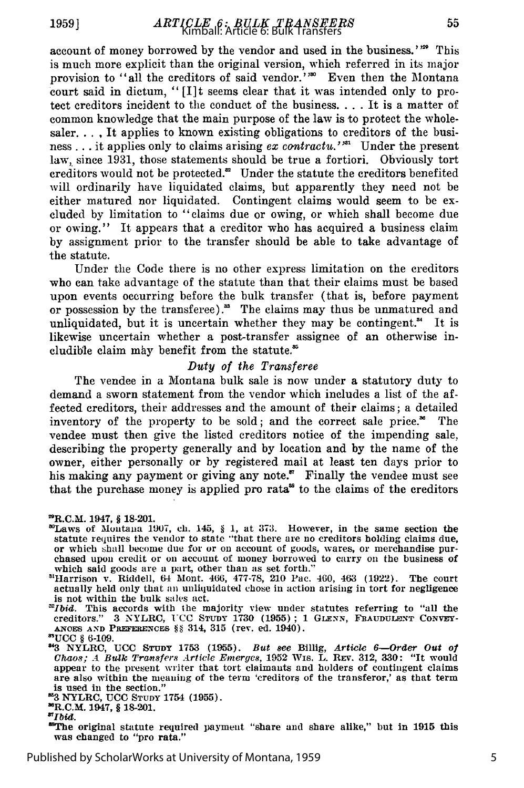account of money borrowed **by** the vendor and used in the business.'" This is much more explicit than the original version, which referred in its major provision to "all the creditors of said vendor."<sup>30</sup> Even then the Montana court said in dictum, "[I]t seems clear that it was intended only to protect creditors incident to the conduct of the business **....** It is a matter of common knowledge that the main purpose of the law is to protect the wholesaler. . **,** It applies to known existing obligations to creditors of the business ... it applies only to claims arising *ex contractu.*"<sup>31</sup> Under the present law, since 1931, those statements should be true a fortiori. Obviously tort creditors would not be protected." Under the statute the creditors benefited will ordinarily have liquidated claims, but apparently they need not be either matured nor liquidated. Contingent claims would seem to be excluded by limitation to "claims due or owing, or which shall become due or owing." It appears that a creditor who has acquired a business claim by assignment prior to the transfer should be able to take advantage of the statute.

Under the Code there is no other express limitation on the creditors who can take advantage of the statute than that their claims must be based upon events occurring before the bulk transfer (that is, before payment or possession by the transferee).<sup>38</sup> The claims may thus be unmatured and unliquidated, but it is uncertain whether they may be contingent.<sup>34</sup> It is likewise uncertain whether a post-transfer assignee of an otherwise includible claim may benefit from the statute.<sup>85</sup>

## *Duty of the Transferee*

The vendee in a Montana bulk sale is now under a statutory duty to demand a sworn statement from the vendor which includes a list of the affected creditors, their addresses and the amount of their claims; a detailed inventory of the property to be sold; and the correct sale price.<sup>36</sup> The vendee must then give the listed creditors notice of the impending sale, describing the property generally and by location and by the name of the owner, either personally or by registered mail at least ten days prior to his making any payment or giving any note." Finally the vendee must see that the purchase money is applied pro rata<sup>38</sup> to the claims of the creditors

- 'Laws of Montana 1907, ch. 145, § 1, at **373.** However, in the same section the statute requires the vendor to state "that there are no creditors holding claims due, or which shall become due for or on account of goods, wares, or merchandise purchased upon credit or on account of money borrowed to carry on the business of which said goods are a part, other than as set forth."
- "Harrison v. Riddell, 64 Mont. 466, 477-78, 210 Pac. 460, 463 **(1922).** The court actually held only that an unliquidated chose in action arising in tort for negligence is not within the bulk sales act.
- *"Ibid.* This accords with the majority view under statutes referring to "all the creditors." **3** NYLRC, **ICC** STUDY **1730 (1955) ;** 1 **GLENN, FRIAUDULENT CONVEY-**ANCES AND PREFERENCES §§ 314, 315 (rev. ed. 1940). "UCC § 6-109.

**83** NYLRC, **UCC STUDY** 1754 **(1955).** "R.C.M. 1947, § 18-201.

*"Ibid.*

<sup>89</sup>The original statute required payment "share and share alike," but in 1915 this was changed to "pro rata."

<sup>-</sup>R.C.M. 1947, § 18-201.

**<sup>843</sup>**NYLRC, **UCC STUDY 1753 (1955).** *But 8ee* Billig, *Article 6-Order Out of Chao,; .A Bulk Transfers Article Enmergeg,* 1952 Wis. L. **REV. 312, 330:** "It would appear to the present writer that tort claimants and holders of contingent claims are also within the meaning of the term 'creditors of the transferor,' as that term is used in the section."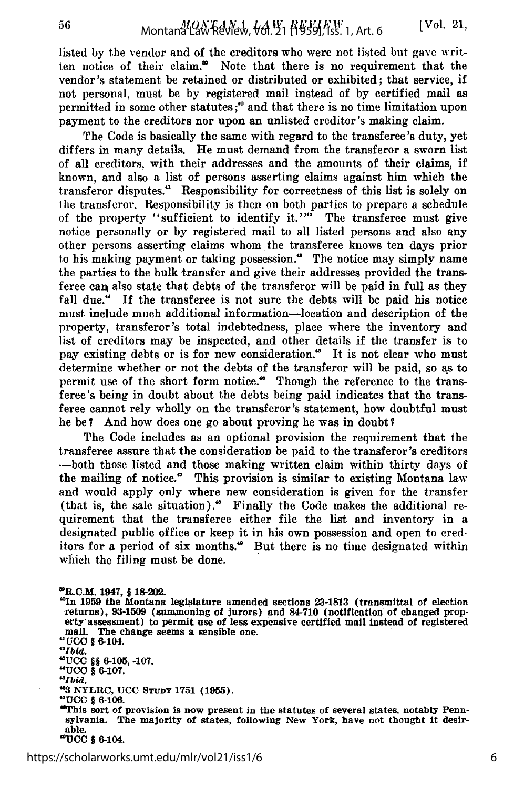listed by the vendor and of the creditors who were not listed but gave written notice of their claim." Note that there is no requirement that the vendor's statement be retained or distributed or exhibited; that service, if not personal, must be by registered mail instead of by certified mail as permitted in some other statutes;" and that there is no time limitation upon payment to the creditors nor upon an unlisted creditor's making claim.

The Code is basically the same with regard to the transferee's duty, yet differs in many details. He must demand from the transferor a sworn list of all creditors, with their addresses and the amounts of their claims, if known, and also a list of persons asserting claims against him which the transferor disputes."' Responsibility for correctness of this list is solely on the transferor. Responsibility is then on both parties to prepare a schedule of the property "sufficient to identify it."" The transferee must give notice personally or by registered mail to all listed persons and also any other persons asserting claims whom the transferee knows ten days prior to his making payment or taking possession." The notice may simply name the parties to the bulk transfer and give their addresses provided the transferee can also state that debts of the transferor will be paid in full as they fall due." If the transferee is not sure the debts will be paid his notice must include much additional information-location and description of the property, transferor 's total indebtedness, place where the inventory and list of creditors may be inspected, and other details if the transfer is to pay existing debts or is for new consideration.<sup>45</sup> It is not clear who must determine whether or not the debts of the transferor will be paid, so as to permit use of the short form notice." Though the reference to the transferee's being in doubt about the debts being paid indicates that the transferee cannot rely wholly on the transferor 's statement, how doubtful must he be? And how does one go about proving he was in doubt?

The Code includes as an optional provision the requirement that the transferee assure that the consideration be paid to the transferor 's creditors ---both those listed and those making written claim within thirty days of the mailing of notice." This provision is similar to existing Montana law and would apply only where new consideration is given for the transfer (that is, the sale situation).' Finally the Code makes the additional requirement that the transferee either file the list and inventory in a designated public office or keep it in his own possession and open to creditors for a period of six months." But there is no time designated within which the filing must be done.

-R.C.M. 1947, *§* 18-202. **"\*In 1959** the Montana legislature amended sections **23-1813** (transmittal of election returns), **93-1509** (summoning of jurors) and 84-710 (notification of changed property assessment) to permit use of less expensive certified mail instead of registered mail. The change seems a sensible one.<br> **"UCO** § 6-104.<br>**"Ibid. "Ibid.**<br>"UCC 88-8-105, 107 **"UCO** § 6-107. *"Ibid.* **"3** NYLRC, **UCC STUDY** 1751 **(1955). "UCC** § 6-106. "This sort of provision is now present in the statutes of several states, notably Pennsylvania. The majority of states, following New York, have not thought It desirable. **"UCC §** 6-104.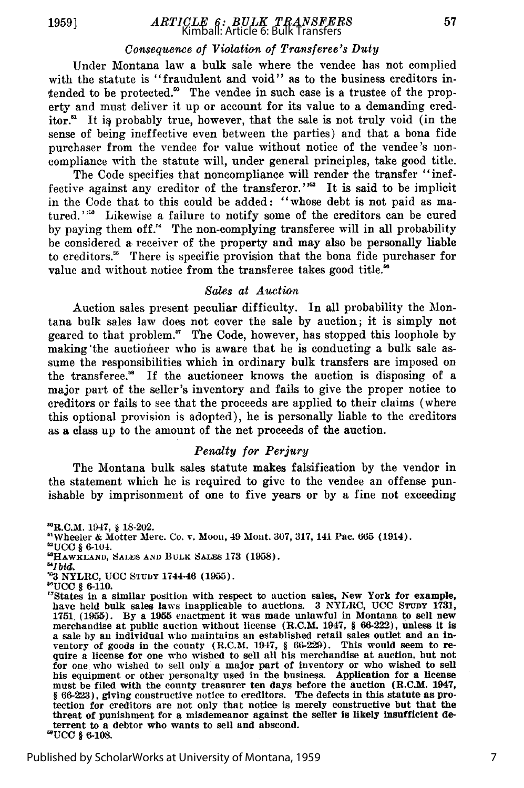# *ARTICLE 6: BULK TRANSFERS* Kimball: Article 6: Bulk Transfers

## *Consequence of Violation of Transferee's Duty*

Under Montana law a bulk sale where the vendee has not complied with the statute is "fraudulent and void" as to the business creditors intended to be protected. $^{\circ}$  The vendee in such case is a trustee of the property and must deliver it up or account for its value to a demanding creditor. $<sup>51</sup>$  It is probably true, however, that the sale is not truly void (in the</sup> sense of being ineffective even between the parties) and that a bona fide purchaser from the vendee for value without notice of the vendee's noncompliance with the statute will, under general principles, take good title.

The Code specifies that noncompliance will render the transfer "ineffective against any creditor of the transferor." $^{52}$  It is said to be implicit in the Code that to this could be added: "whose debt is not paid as matured."<sup>33</sup> Likewise a failure to notify some of the creditors can be cured by paying them off.' The non-complying transferee will in all probability be considered a receiver of the property and may also be personally liable to creditors.<sup>56</sup> There is specific provision that the bona fide purchaser for value and without notice from the transferee takes good title."

## *Sales at Auctian*

Auction sales present peculiar difficulty. In all probability the Montana bulk sales law does not cover the sale by auction; it is simply not geared to that problem." The Code, however, has stopped this loophole by making the auctioneer who is aware that he is conducting a bulk sale assume the responsibilities which in ordinary bulk transfers are imposed on the transferee. $\mathbf{B}$  If the auctioneer knows the auction is disposing of a major part of the seller's inventory and fails to give the proper notice to creditors or fails to see that the proceeds are applied to their claims (where this optional provision is adopted), he is personally liable to the creditors as a class up to the amount of the net proceeds of the auction.

#### *Penalty for Perjury*

The Montana bulk sales statute makes falsification by the vendor in the statement which he is required to give to the vendee an offense punishable by imprisonment of one to five years or by a fine not exceeding

**'UCC §** 6-104. **6 3HAWK LAND, SALES AND BULK SAYE, 173 (1958).**

*"Ibid.*

7

<sup>-</sup>R.C.M. 1947, **§** 18-202. "'Wheeler & Motter Mere. Co. v. Moon, 49 Mont. **307,** 317, 141 Pac. **O65** (1914).

<sup>&</sup>quot; 3 NYLRC, **UCC STUDY** 1744-46 **(1955). "UCC** § 6-110.

<sup>&</sup>quot;TStates in a similar position with respect to auction sales, New York for example, have held bulk sales laws inapplicable to auctions. **3** NYLRC, **UCC STUDY** 1731, <sup>1751</sup>**(1955).** By a **1955** enactment it was made unlawful in Montana to sell new merchandise at public auction without license (R.C.M. 1947, § 66-222), unless it is a sale by an individual who maintains an established retail sales outlet and an inventory of goods in the county (R.C.M. 1947,  $\S~66-229$ ). This would seem to require a license for one who wished to sell all his merchandi for one who wished to sell only a major part of inventory or who wished to sell his equipment or other personalty used in the business. Application for a license must be filed with the county treasurer ten days before the auction (R.C.M. 1947, § 66-223), giving constructive notice to creditors. The defects in this statute as protection for creditors are not only that notice is merely constructive but that the threat of punishment for a misdemeanor against the seller is likely insufficient deterrent to a debtor who wants to sell and abscond. **-UCC §** 6-108.